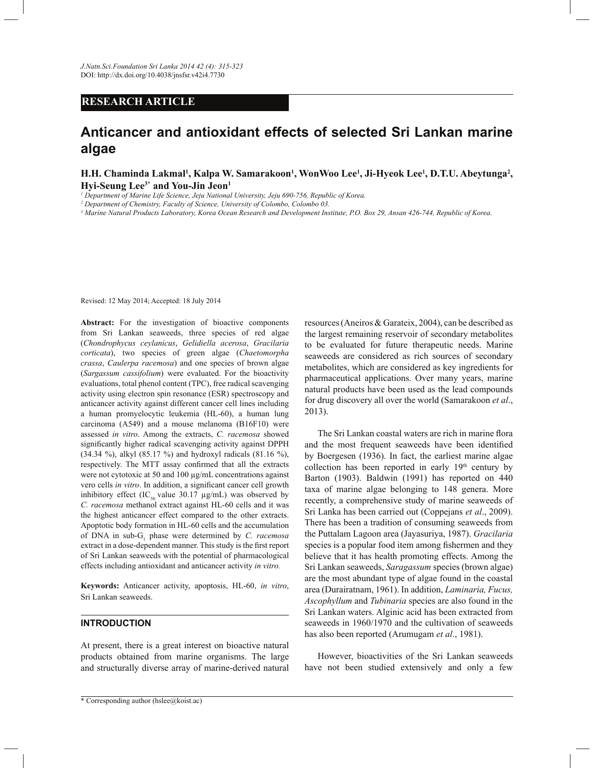# **RESEARCH ARTICLE**

# **Anticancer and antioxidant effects of selected Sri Lankan marine algae**

**H.H. Chaminda Lakmal<sup>1</sup> , Kalpa W. Samarakoon<sup>1</sup> , WonWoo Lee<sup>1</sup> , Ji-Hyeok Lee<sup>1</sup> , D.T.U. Abeytunga<sup>2</sup> , Hyi-Seung Lee3\* and You-Jin Jeon<sup>1</sup>**

*1 Department of Marine Life Science, Jeju National University, Jeju 690-756, Republic of Korea.*

*2 Department of Chemistry, Faculty of Science, University of Colombo, Colombo 03.*

*3 Marine Natural Products Laboratory, Korea Ocean Research and Development Institute, P.O. Box 29, Ansan 426-744, Republic of Korea.*

Revised: 12 May 2014; Accepted: 18 July 2014

Abstract: For the investigation of bioactive components from Sri Lankan seaweeds, three species of red algae (*Chondrophycus ceylanicus*, *Gelidiella acerosa*, *Gracilaria corticata*), two species of green algae (*Chaetomorpha crassa*, *Caulerpa racemosa*) and one species of brown algae (*Sargassum cassifolium*) were evaluated. For the bioactivity evaluations, total phenol content (TPC), free radical scavenging activity using electron spin resonance (ESR) spectroscopy and anticancer activity against different cancer cell lines including a human promyelocytic leukemia (HL-60), a human lung carcinoma (A549) and a mouse melanoma (B16F10) were assessed *in vitro*. Among the extracts, *C. racemosa* showed significantly higher radical scavenging activity against DPPH (34.34 %), alkyl (85.17 %) and hydroxyl radicals (81.16 %), respectively. The MTT assay confirmed that all the extracts were not cytotoxic at 50 and 100 µg/mL concentrations against vero cells *in vitro*. In addition, a significant cancer cell growth inhibitory effect (IC<sub>50</sub> value 30.17  $\mu$ g/mL) was observed by *C. racemosa* methanol extract against HL-60 cells and it was the highest anticancer effect compared to the other extracts. Apoptotic body formation in HL-60 cells and the accumulation of DNA in sub-G<sub>1</sub> phase were determined by *C. racemosa* extract in a dose-dependent manner. This study is the first report of Sri Lankan seaweeds with the potential of pharmacological effects including antioxidant and anticancer activity *in vitro.*

**Keywords:** Anticancer activity, apoptosis, HL-60, *in vitro*, Sri Lankan seaweeds.

# **INTRODUCTION**

At present, there is a great interest on bioactive natural products obtained from marine organisms. The large and structurally diverse array of marine-derived natural

resources (Aneiros & Garateix, 2004), can be described as the largest remaining reservoir of secondary metabolites to be evaluated for future therapeutic needs. Marine seaweeds are considered as rich sources of secondary metabolites, which are considered as key ingredients for pharmaceutical applications. Over many years, marine natural products have been used as the lead compounds for drug discovery all over the world (Samarakoon *et al*., 2013).

 The Sri Lankan coastal waters are rich in marine flora and the most frequent seaweeds have been identified by Boergesen (1936). In fact, the earliest marine algae collection has been reported in early  $19<sup>th</sup>$  century by Barton (1903). Baldwin (1991) has reported on 440 taxa of marine algae belonging to 148 genera. More recently, a comprehensive study of marine seaweeds of Sri Lanka has been carried out (Coppejans *et al*., 2009). There has been a tradition of consuming seaweeds from the Puttalam Lagoon area (Jayasuriya, 1987). *Gracilaria*  species is a popular food item among fishermen and they believe that it has health promoting effects. Among the Sri Lankan seaweeds, *Saragassum* species (brown algae) are the most abundant type of algae found in the coastal area (Durairatnam, 1961). In addition, *Laminaria, Fucus, Ascophyllum* and *Tubinaria* species are also found in the Sri Lankan waters. Alginic acid has been extracted from seaweeds in 1960/1970 and the cultivation of seaweeds has also been reported (Arumugam *et al*., 1981).

 However, bioactivities of the Sri Lankan seaweeds have not been studied extensively and only a few

<sup>\*</sup> Corresponding author (hslee@koist.ac)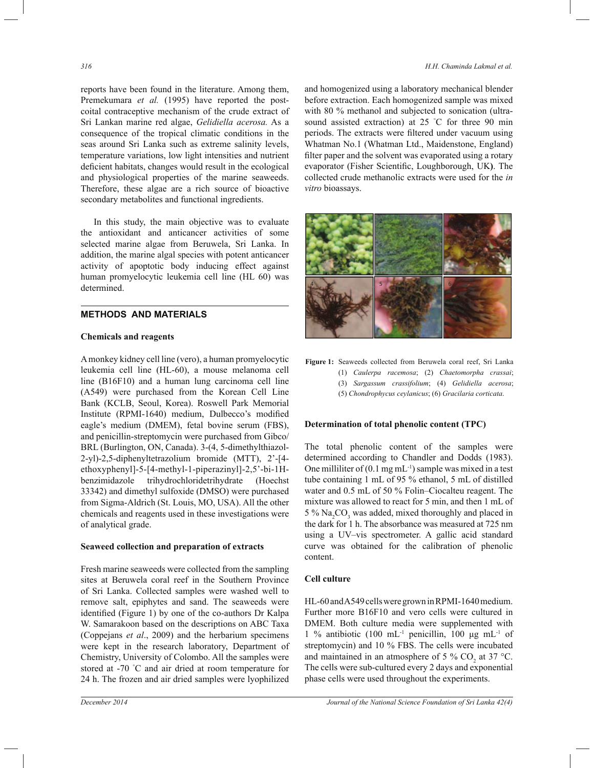reports have been found in the literature. Among them, Premekumara *et al.* (1995) have reported the postcoital contraceptive mechanism of the crude extract of Sri Lankan marine red algae, *Gelidiella acerosa.* As a consequence of the tropical climatic conditions in the seas around Sri Lanka such as extreme salinity levels, temperature variations, low light intensities and nutrient deficient habitats, changes would result in the ecological and physiological properties of the marine seaweeds. Therefore, these algae are a rich source of bioactive secondary metabolites and functional ingredients.

 In this study, the main objective was to evaluate the antioxidant and anticancer activities of some selected marine algae from Beruwela, Sri Lanka. In addition, the marine algal species with potent anticancer activity of apoptotic body inducing effect against human promyelocytic leukemia cell line (HL 60) was determined.

# **METHODS AND MATERIALS**

#### **Chemicals and reagents**

A monkey kidney cell line (vero), a human promyelocytic leukemia cell line (HL-60), a mouse melanoma cell line (B16F10) and a human lung carcinoma cell line (A549) were purchased from the Korean Cell Line Bank (KCLB, Seoul, Korea). Roswell Park Memorial Institute (RPMI-1640) medium, Dulbecco's modified eagle's medium (DMEM), fetal bovine serum (FBS), and penicillin-streptomycin were purchased from Gibco/ BRL (Burlington, ON, Canada). 3-(4, 5-dimethylthiazol-2-yl)-2,5-diphenyltetrazolium bromide (MTT), 2'-[4 ethoxyphenyl]-5-[4-methyl-1-piperazinyl]-2,5'-bi-1Hbenzimidazole trihydrochloridetrihydrate (Hoechst 33342) and dimethyl sulfoxide (DMSO) were purchased from Sigma-Aldrich (St. Louis, MO, USA). All the other chemicals and reagents used in these investigations were of analytical grade.

#### **Seaweed collection and preparation of extracts**

Fresh marine seaweeds were collected from the sampling sites at Beruwela coral reef in the Southern Province of Sri Lanka. Collected samples were washed well to remove salt, epiphytes and sand. The seaweeds were identified (Figure 1) by one of the co-authors Dr Kalpa W. Samarakoon based on the descriptions on ABC Taxa (Coppejans *et al*., 2009) and the herbarium specimens were kept in the research laboratory, Department of Chemistry, University of Colombo. All the samples were stored at -70 °C and air dried at room temperature for 24 h. The frozen and air dried samples were lyophilized

## *316 H.H. Chaminda Lakmal et al.*

and homogenized using a laboratory mechanical blender before extraction. Each homogenized sample was mixed with 80 % methanol and subjected to sonication (ultrasound assisted extraction) at 25 °C for three 90 min periods. The extracts were filtered under vacuum using Whatman No.1 (Whatman Ltd., Maidenstone, England) filter paper and the solvent was evaporated using a rotary evaporator (Fisher Scientific, Loughborough, UK**)**. The collected crude methanolic extracts were used for the *in vitro* bioassays.



**Figure 1:** Seaweeds collected from Beruwela coral reef, Sri Lanka (1) *Caulerpa racemosa*; (2) *Chaetomorpha crassai*; (3) *Sargassum crassifolium*; (4) *Gelidiella acerosa*; (5) *Chondrophycus ceylanicus*; (6) *Gracilaria corticata*.

#### **Determination of total phenolic content (TPC)**

The total phenolic content of the samples were determined according to Chandler and Dodds (1983). One milliliter of  $(0.1 \text{ mg} \text{ mL}^{-1})$  sample was mixed in a test tube containing 1 mL of 95 % ethanol, 5 mL of distilled water and 0.5 mL of 50 % Folin–Ciocalteu reagent. The mixture was allowed to react for 5 min, and then 1 mL of  $5\%$  Na<sub>2</sub>CO<sub>3</sub> was added, mixed thoroughly and placed in the dark for 1 h. The absorbance was measured at 725 nm using a UV–vis spectrometer. A gallic acid standard curve was obtained for the calibration of phenolic content.

# **Cell culture**

HL-60 and A549 cells were grown in RPMI-1640 medium. Further more B16F10 and vero cells were cultured in DMEM. Both culture media were supplemented with 1 % antibiotic (100 mL<sup>-1</sup> penicillin, 100 μg mL<sup>-1</sup> of streptomycin) and 10 % FBS. The cells were incubated and maintained in an atmosphere of 5 %  $CO_2$  at 37 °C. The cells were sub-cultured every 2 days and exponential phase cells were used throughout the experiments.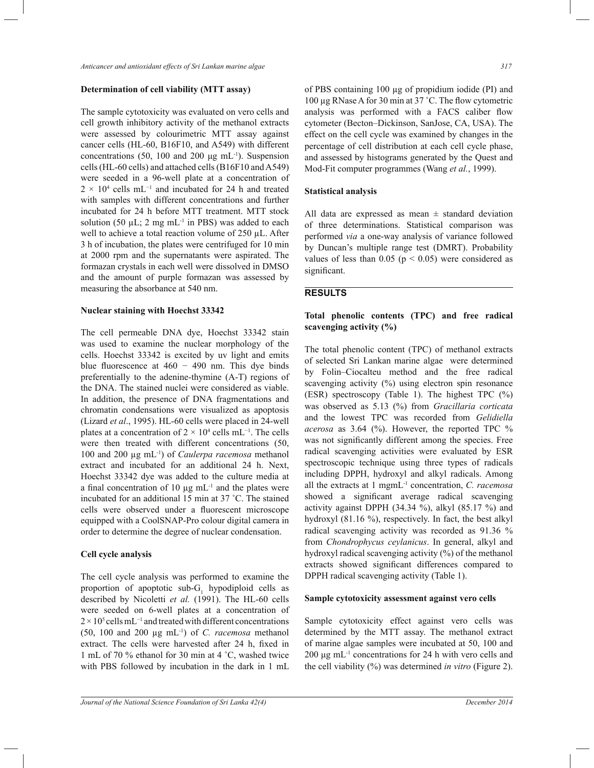*Anticancer and antioxidant effects of Sri Lankan marine algae 317*

# **Determination of cell viability (MTT assay)**

The sample cytotoxicity was evaluated on vero cells and cell growth inhibitory activity of the methanol extracts were assessed by colourimetric MTT assay against cancer cells (HL-60, B16F10, and A549) with different concentrations (50, 100 and 200  $\mu$ g mL<sup>-1</sup>). Suspension cells (HL-60 cells) and attached cells (B16F10 and A549) were seeded in a 96-well plate at a concentration of  $2 \times 10^4$  cells mL<sup>-1</sup> and incubated for 24 h and treated with samples with different concentrations and further incubated for 24 h before MTT treatment. MTT stock solution (50  $\mu$ L; 2 mg mL<sup>-1</sup> in PBS) was added to each well to achieve a total reaction volume of 250 µL. After 3 h of incubation, the plates were centrifuged for 10 min at 2000 rpm and the supernatants were aspirated. The formazan crystals in each well were dissolved in DMSO and the amount of purple formazan was assessed by measuring the absorbance at 540 nm.

#### **Nuclear staining with Hoechst 33342**

The cell permeable DNA dye, Hoechst 33342 stain was used to examine the nuclear morphology of the cells. Hoechst 33342 is excited by uv light and emits blue fluorescence at  $460 - 490$  nm. This dye binds preferentially to the adenine-thymine (A-T) regions of the DNA. The stained nuclei were considered as viable. In addition, the presence of DNA fragmentations and chromatin condensations were visualized as apoptosis (Lizard *et al*., 1995). HL-60 cells were placed in 24-well plates at a concentration of  $2 \times 10^4$  cells mL<sup>-1</sup>. The cells were then treated with different concentrations (50, 100 and 200 µg mL-1) of *Caulerpa racemosa* methanol extract and incubated for an additional 24 h. Next, Hoechst 33342 dye was added to the culture media at a final concentration of 10  $\mu$ g mL<sup>-1</sup> and the plates were incubated for an additional 15 min at 37 ˚C. The stained cells were observed under a fluorescent microscope equipped with a CoolSNAP-Pro colour digital camera in order to determine the degree of nuclear condensation.

#### **Cell cycle analysis**

The cell cycle analysis was performed to examine the proportion of apoptotic sub- $G_1$  hypodiploid cells as described by Nicoletti *et al.* (1991). The HL-60 cells were seeded on 6-well plates at a concentration of 2 × 10<sup>5</sup> cells mL<sup>-1</sup> and treated with different concentrations (50, 100 and 200 µg mL-1) of *C. racemosa* methanol extract. The cells were harvested after 24 h, fixed in 1 mL of 70 % ethanol for 30 min at 4 ˚C, washed twice with PBS followed by incubation in the dark in 1 mL

of PBS containing 100 µg of propidium iodide (PI) and 100 µg RNase A for 30 min at 37 ˚C. The flow cytometric analysis was performed with a FACS caliber flow cytometer (Becton–Dickinson, SanJose, CA, USA). The effect on the cell cycle was examined by changes in the percentage of cell distribution at each cell cycle phase, and assessed by histograms generated by the Quest and Mod-Fit computer programmes (Wang *et al.*, 1999).

#### **Statistical analysis**

All data are expressed as mean  $\pm$  standard deviation of three determinations. Statistical comparison was performed *via* a one-way analysis of variance followed by Duncan's multiple range test (DMRT). Probability values of less than  $0.05$  ( $p < 0.05$ ) were considered as significant.

# **RESULTS**

# **Total phenolic contents (TPC) and free radical scavenging activity (%)**

The total phenolic content (TPC) of methanol extracts of selected Sri Lankan marine algae were determined by Folin–Ciocalteu method and the free radical scavenging activity (%) using electron spin resonance (ESR) spectroscopy (Table 1). The highest TPC (%) was observed as 5.13 (%) from *Gracillaria corticata*  and the lowest TPC was recorded from *Gelidiella acerosa* as 3.64 (%). However, the reported TPC % was not significantly different among the species. Free radical scavenging activities were evaluated by ESR spectroscopic technique using three types of radicals including DPPH, hydroxyl and alkyl radicals. Among all the extracts at 1 mgmL-1 concentration, *C. racemosa*  showed a significant average radical scavenging activity against DPPH (34.34 %), alkyl (85.17 %) and hydroxyl (81.16 %), respectively. In fact, the best alkyl radical scavenging activity was recorded as 91.36 % from *Chondrophycus ceylanicus*. In general, alkyl and hydroxyl radical scavenging activity (%) of the methanol extracts showed significant differences compared to DPPH radical scavenging activity (Table 1).

#### **Sample cytotoxicity assessment against vero cells**

Sample cytotoxicity effect against vero cells was determined by the MTT assay. The methanol extract of marine algae samples were incubated at 50, 100 and  $200 \mu g$  mL<sup>-1</sup> concentrations for 24 h with vero cells and the cell viability (%) was determined *in vitro* (Figure 2).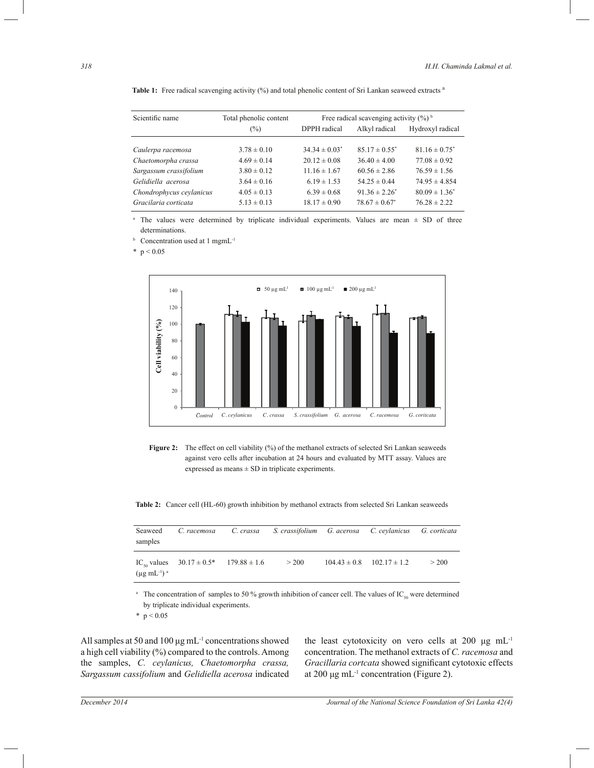Table 1: Free radical scavenging activity (%) and total phenolic content of Sri Lankan seaweed extracts <sup>a</sup>

| Scientific name          | Total phenolic content | Free radical scavenging activity $(\frac{6}{6})^6$ |                    |                               |  |
|--------------------------|------------------------|----------------------------------------------------|--------------------|-------------------------------|--|
|                          | (%)                    | DPPH radical                                       | Alkyl radical      | Hydroxyl radical              |  |
|                          |                        |                                                    |                    |                               |  |
| Caulerpa racemosa        | $3.78 \pm 0.10$        | $34.34 \pm 0.03^*$                                 | $85.17 \pm 0.55^*$ | $81.16 \pm 0.75$ <sup>*</sup> |  |
| Chaetomorpha crassa      | $4.69 \pm 0.14$        | $20.12 \pm 0.08$                                   | $36.40 \pm 4.00$   | $77.08 \pm 0.92$              |  |
| Sargassum crassifolium   | $3.80 \pm 0.12$        | $11.16 \pm 1.67$                                   | $60.56 \pm 2.86$   | $76.59 \pm 1.56$              |  |
| Gelidiella acerosa       | $3.64 \pm 0.16$        | $6.19 \pm 1.53$                                    | $54.25 \pm 0.44$   | $74.95 \pm 4.854$             |  |
| Chondrophycus ceylanicus | $4.05 \pm 0.13$        | $6.39 \pm 0.68$                                    | $91.36 \pm 2.26^*$ | $80.09 \pm 1.36^*$            |  |
| Gracilaria corticata     | $5.13 \pm 0.13$        | $18.17 \pm 0.90$                                   | $78.67 \pm 0.67^*$ | $76.28 \pm 2.22$              |  |

<sup>a</sup> The values were determined by triplicate individual experiments. Values are mean  $\pm$  SD of three determinations.

**b** Concentration used at 1 mgmL<sup>-1</sup>

 $*$  p < 0.05



Figure 2: The effect on cell viability (%) of the methanol extracts of selected Sri Lankan seaweeds against vero cells after incubation at 24 hours and evaluated by MTT assay. Values are expressed as means  $\pm$  SD in triplicate experiments.

**Table 2:** Cancer cell (HL-60) growth inhibition by methanol extracts from selected Sri Lankan seaweeds

| Seaweed<br>samples     | C. racemosa                                                | C. crassa S. crassifolium G. acerosa C. ceylanicus G. corticata |                  |                  |       |
|------------------------|------------------------------------------------------------|-----------------------------------------------------------------|------------------|------------------|-------|
| $(\mu g \, mL^{-1})^a$ | IC <sub>so</sub> values $30.17 \pm 0.5^*$ 179.88 $\pm 1.6$ | >200                                                            | $104.43 \pm 0.8$ | $102.17 \pm 1.2$ | > 200 |

<sup>a</sup> The concentration of samples to 50 % growth inhibition of cancer cell. The values of IC<sub>50</sub> were determined by triplicate individual experiments.

\*  $p < 0.05$ 

All samples at 50 and 100  $\mu$ g mL<sup>-1</sup> concentrations showed a high cell viability (%) compared to the controls. Among the samples, *C. ceylanicus, Chaetomorpha crassa, Sargassum cassifolium* and *Gelidiella acerosa* indicated the least cytotoxicity on vero cells at 200 μg mL-1 concentration. The methanol extracts of *C. racemosa* and *Gracillaria cortcata* showed significant cytotoxic effects at 200 μg mL<sup>-1</sup> concentration (Figure 2).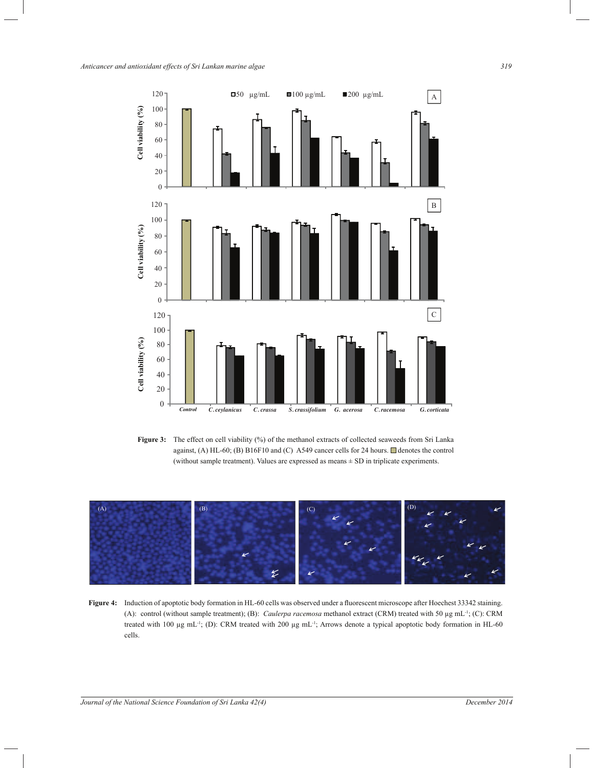*Anticancer and antioxidant effects of Sri Lankan marine algae 319*



Figure 3: The effect on cell viability (%) of the methanol extracts of collected seaweeds from Sri Lanka against, (A) HL-60; (B) B16F10 and (C) A549 cancer cells for 24 hours.  $\Box$  denotes the control (without sample treatment). Values are expressed as means  $\pm$  SD in triplicate experiments.



**Figure 4:** Induction of apoptotic body formation in HL-60 cells was observed under a fluorescent microscope after Hoechest 33342 staining. (A): control (without sample treatment); (B): *Caulerpa racemosa* methanol extract (CRM) treated with 50 µg mL-1; (C): CRM treated with 100 µg mL<sup>-1</sup>; (D): CRM treated with 200 µg mL<sup>-1</sup>; Arrows denote a typical apoptotic body formation in HL-60 cells.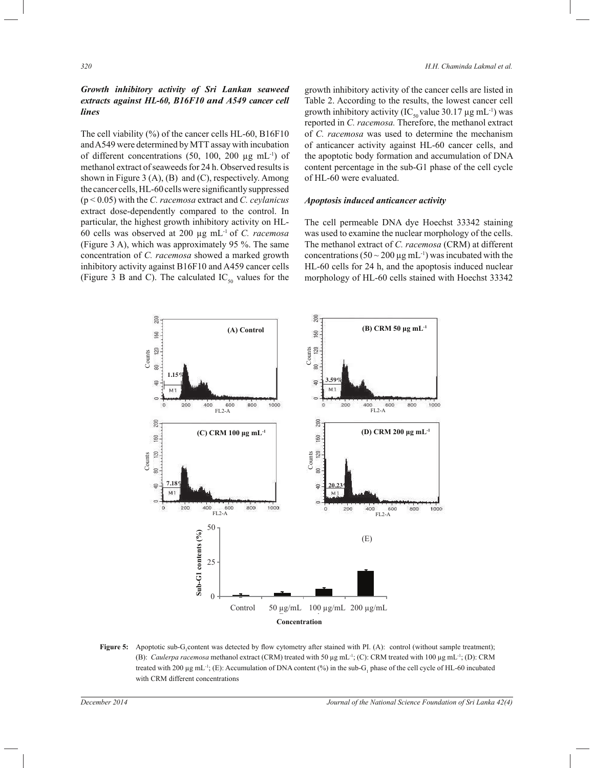# *Growth inhibitory activity of Sri Lankan seaweed extracts against HL-60, B16F10 and A549 cancer cell lines*

The cell viability (%) of the cancer cells HL-60, B16F10 and A549 were determined by MTT assay with incubation of different concentrations  $(50, 100, 200 \mu g \text{ mL}^{-1})$  of methanol extract of seaweeds for 24 h. Observed results is shown in Figure 3  $(A)$ ,  $(B)$  and  $(C)$ , respectively. Among the cancer cells, HL-60 cells were significantly suppressed (p < 0.05) with the *C. racemosa* extract and *C. ceylanicus*  extract dose-dependently compared to the control. In particular, the highest growth inhibitory activity on HL-60 cells was observed at 200 µg mL-1 of *C. racemosa* (Figure 3 A), which was approximately 95 %. The same concentration of *C. racemosa* showed a marked growth inhibitory activity against B16F10 and A459 cancer cells (Figure 3 B and C). The calculated  $IC_{50}$  values for the

growth inhibitory activity of the cancer cells are listed in Table 2. According to the results, the lowest cancer cell growth inhibitory activity (IC<sub>50</sub> value 30.17 µg mL<sup>-1</sup>) was reported in *C. racemosa.* Therefore, the methanol extract of *C. racemosa* was used to determine the mechanism of anticancer activity against HL-60 cancer cells, and the apoptotic body formation and accumulation of DNA content percentage in the sub-G1 phase of the cell cycle of HL-60 were evaluated.

# *Apoptosis induced anticancer activity*

The cell permeable DNA dye Hoechst 33342 staining was used to examine the nuclear morphology of the cells. The methanol extract of *C. racemosa* (CRM) at different concentrations ( $50 \sim 200 \,\mu g \,\text{m}$ L<sup>-1</sup>) was incubated with the HL-60 cells for 24 h, and the apoptosis induced nuclear morphology of HL-60 cells stained with Hoechst 33342



**Figure 5:** Apoptotic sub-G<sub>1</sub> content was detected by flow cytometry after stained with PI. (A): control (without sample treatment); (B): *Caulerpa racemosa* methanol extract (CRM) treated with 50 µg mL-1; (C): CRM treated with 100 µg mL-1; (D): CRM treated with 200  $\mu$ g mL<sup>-1</sup>; (E): Accumulation of DNA content (%) in the sub-G<sub>1</sub> phase of the cell cycle of HL-60 incubated with CRM different concentrations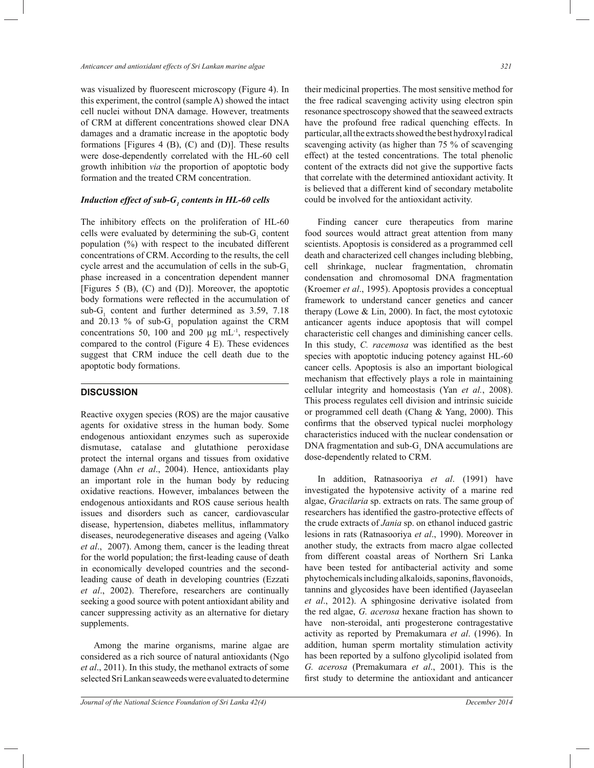was visualized by fluorescent microscopy (Figure 4). In this experiment, the control (sample A) showed the intact cell nuclei without DNA damage. However, treatments of CRM at different concentrations showed clear DNA damages and a dramatic increase in the apoptotic body formations [Figures 4  $(B)$ ,  $(C)$  and  $(D)$ ]. These results were dose-dependently correlated with the HL-60 cell growth inhibition *via* the proportion of apoptotic body formation and the treated CRM concentration.

# *Induction effect of sub-G<sup>1</sup> contents in HL-60 cells*

The inhibitory effects on the proliferation of HL-60 cells were evaluated by determining the sub- $G_1$  content population (%) with respect to the incubated different concentrations of CRM. According to the results, the cell cycle arrest and the accumulation of cells in the sub- $G<sub>1</sub>$ phase increased in a concentration dependent manner [Figures 5 (B), (C) and (D)]. Moreover, the apoptotic body formations were reflected in the accumulation of sub- $G_1$  content and further determined as 3.59, 7.18 and 20.13 % of sub- $G_1$  population against the CRM concentrations 50, 100 and 200  $\mu$ g mL<sup>-1</sup>, respectively compared to the control (Figure 4 E). These evidences suggest that CRM induce the cell death due to the apoptotic body formations.

# **DISCUSSION**

Reactive oxygen species (ROS) are the major causative agents for oxidative stress in the human body. Some endogenous antioxidant enzymes such as superoxide dismutase, catalase and glutathione peroxidase protect the internal organs and tissues from oxidative damage (Ahn *et al*., 2004). Hence, antioxidants play an important role in the human body by reducing oxidative reactions. However, imbalances between the endogenous antioxidants and ROS cause serious health issues and disorders such as cancer, cardiovascular disease, hypertension, diabetes mellitus, inflammatory diseases, neurodegenerative diseases and ageing (Valko *et al*., 2007). Among them, cancer is the leading threat for the world population; the first-leading cause of death in economically developed countries and the secondleading cause of death in developing countries (Ezzati *et al*., 2002). Therefore, researchers are continually seeking a good source with potent antioxidant ability and cancer suppressing activity as an alternative for dietary supplements.

 Among the marine organisms, marine algae are considered as a rich source of natural antioxidants (Ngo *et al*., 2011). In this study, the methanol extracts of some selected Sri Lankan seaweeds were evaluated to determine their medicinal properties. The most sensitive method for the free radical scavenging activity using electron spin resonance spectroscopy showed that the seaweed extracts have the profound free radical quenching effects. In particular, all the extracts showed the best hydroxyl radical scavenging activity (as higher than 75 % of scavenging effect) at the tested concentrations. The total phenolic content of the extracts did not give the supportive facts that correlate with the determined antioxidant activity. It is believed that a different kind of secondary metabolite could be involved for the antioxidant activity.

 Finding cancer cure therapeutics from marine food sources would attract great attention from many scientists. Apoptosis is considered as a programmed cell death and characterized cell changes including blebbing, cell shrinkage, nuclear fragmentation, chromatin condensation and chromosomal DNA fragmentation (Kroemer *et al*., 1995). Apoptosis provides a conceptual framework to understand cancer genetics and cancer therapy (Lowe  $& Lin, 2000$ ). In fact, the most cytotoxic anticancer agents induce apoptosis that will compel characteristic cell changes and diminishing cancer cells. In this study, *C. racemosa* was identified as the best species with apoptotic inducing potency against HL-60 cancer cells. Apoptosis is also an important biological mechanism that effectively plays a role in maintaining cellular integrity and homeostasis (Yan *et al.*, 2008). This process regulates cell division and intrinsic suicide or programmed cell death (Chang & Yang, 2000). This confirms that the observed typical nuclei morphology characteristics induced with the nuclear condensation or DNA fragmentation and sub- $G_1$  DNA accumulations are dose-dependently related to CRM.

 In addition, Ratnasooriya *et al*. (1991) have investigated the hypotensive activity of a marine red algae, *Gracilaria* sp. extracts on rats. The same group of researchers has identified the gastro-protective effects of the crude extracts of *Jania* sp. on ethanol induced gastric lesions in rats (Ratnasooriya *et al*., 1990). Moreover in another study, the extracts from macro algae collected from different coastal areas of Northern Sri Lanka have been tested for antibacterial activity and some phytochemicals including alkaloids, saponins, flavonoids, tannins and glycosides have been identified (Jayaseelan *et al*., 2012). A sphingosine derivative isolated from the red algae, *G. acerosa* hexane fraction has shown to have non-steroidal, anti progesterone contragestative activity as reported by Premakumara *et al*. (1996). In addition, human sperm mortality stimulation activity has been reported by a sulfono glycolipid isolated from *G. acerosa* (Premakumara *et al*., 2001). This is the first study to determine the antioxidant and anticancer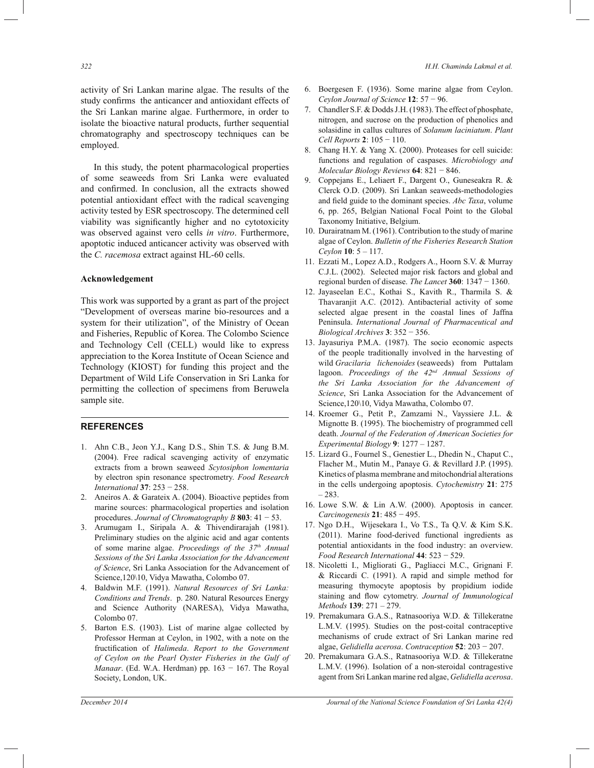activity of Sri Lankan marine algae. The results of the study confirms the anticancer and antioxidant effects of the Sri Lankan marine algae. Furthermore, in order to isolate the bioactive natural products, further sequential chromatography and spectroscopy techniques can be employed.

 In this study, the potent pharmacological properties of some seaweeds from Sri Lanka were evaluated and confirmed. In conclusion, all the extracts showed potential antioxidant effect with the radical scavenging activity tested by ESR spectroscopy. The determined cell viability was significantly higher and no cytotoxicity was observed against vero cells *in vitro*. Furthermore, apoptotic induced anticancer activity was observed with the *C. racemosa* extract against HL-60 cells.

#### **Acknowledgement**

This work was supported by a grant as part of the project "Development of overseas marine bio-resources and a system for their utilization", of the Ministry of Ocean and Fisheries, Republic of Korea. The Colombo Science and Technology Cell (CELL) would like to express appreciation to the Korea Institute of Ocean Science and Technology (KIOST) for funding this project and the Department of Wild Life Conservation in Sri Lanka for permitting the collection of specimens from Beruwela sample site.

## **REFERENCES**

- 1. Ahn C.B., Jeon Y.J., Kang D.S., Shin T.S. & Jung B.M. (2004). Free radical scavenging activity of enzymatic extracts from a brown seaweed *Scytosiphon lomentaria* by electron spin resonance spectrometry. *Food Research International* **37**: 253 − 258.
- 2. Aneiros A. & Garateix A. (2004). Bioactive peptides from marine sources: pharmacological properties and isolation procedures. *Journal of Chromatography B* **803**: 41 − 53.
- 3. Arumugam I., Siripala A. & Thivendirarajah (1981). Preliminary studies on the alginic acid and agar contents of some marine algae. *Proceedings of the 37th Annual Sessions of the Sri Lanka Association for the Advancement of Science*, Sri Lanka Association for the Advancement of Science,120\10, Vidya Mawatha, Colombo 07.
- 4. Baldwin M.F. (1991). *Natural Resources of Sri Lanka: Conditions and Trends*. p. 280. Natural Resources Energy and Science Authority (NARESA), Vidya Mawatha, Colombo 07.
- 5. Barton E.S. (1903). List of marine algae collected by Professor Herman at Ceylon, in 1902, with a note on the fructification of *Halimeda*. *Report to the Government of Ceylon on the Pearl Oyster Fisheries in the Gulf of Manaar*. (Ed. W.A. Herdman) pp. 163 − 167. The Royal Society, London, UK.
- 6. Boergesen F. (1936). Some marine algae from Ceylon. *Ceylon Journal of Science* **12**: 57 − 96.
- 7. Chandler S.F. & Dodds J.H. (1983). The effect of phosphate, nitrogen, and sucrose on the production of phenolics and solasidine in callus cultures of *Solanum laciniatum*. *Plant Cell Reports* **2**: 105 − 110.
- 8. Chang H.Y. & Yang X. (2000). Proteases for cell suicide: functions and regulation of caspases. *Microbiology and Molecular Biology Reviews* **64**: 821 − 846.
- 9. Coppejans E., Leliaert F., Dargent O., Guneseakra R. & Clerck O.D. (2009). Sri Lankan seaweeds-methodologies and field guide to the dominant species. *Abc Taxa*, volume 6, pp. 265, Belgian National Focal Point to the Global Taxonomy Initiative, Belgium.
- 10. Durairatnam M. (1961). Contribution to the study of marine algae of Ceylon. *Bulletin of the Fisheries Research Station Ceylon* **10**: 5 – 117.
- 11. Ezzati M., Lopez A.D., Rodgers A., Hoorn S.V. & Murray C.J.L. (2002). Selected major risk factors and global and regional burden of disease. *The Lancet* **360**: 1347 − 1360.
- 12. Jayaseelan E.C., Kothai S., Kavith R., Tharmila S. & Thavaranjit A.C. (2012). Antibacterial activity of some selected algae present in the coastal lines of Jaffna Peninsula. *International Journal of Pharmaceutical and Biological Archives* **3**: 352 − 356.
- 13. Jayasuriya P.M.A. (1987). The socio economic aspects of the people traditionally involved in the harvesting of wild *Gracilaria lichenoides* (seaweeds) from Puttalam lagoon. *Proceedings of the 42nd Annual Sessions of the Sri Lanka Association for the Advancement of Science*, Sri Lanka Association for the Advancement of Science,120\10, Vidya Mawatha, Colombo 07.
- 14. Kroemer G., Petit P., Zamzami N., Vayssiere J.L. & Mignotte B. (1995). The biochemistry of programmed cell death. *Journal of the Federation of American Societies for Experimental Biology* **9**: 1277 – 1287.
- 15. Lizard G., Fournel S., Genestier L., Dhedin N., Chaput C., Flacher M., Mutin M., Panaye G. & Revillard J.P. (1995). Kinetics of plasma membrane and mitochondrial alterations in the cells undergoing apoptosis. *Cytochemistry* **21**: 275 – 283.
- 16. Lowe S.W. & Lin A.W. (2000). Apoptosis in cancer. *Carcinogenesis* **21**: 485 − 495.
- 17. Ngo D.H., Wijesekara I., Vo T.S., Ta Q.V. & Kim S.K. (2011). Marine food-derived functional ingredients as potential antioxidants in the food industry: an overview. *Food Research International* **44**: 523 − 529.
- 18. Nicoletti I., Migliorati G., Pagliacci M.C., Grignani F. & Riccardi C. (1991). A rapid and simple method for measuring thymocyte apoptosis by propidium iodide staining and flow cytometry. *Journal of Immunological Methods* **139**: 271 – 279.
- 19. Premakumara G.A.S., Ratnasooriya W.D. & Tillekeratne L.M.V. (1995). Studies on the post-coital contraceptive mechanisms of crude extract of Sri Lankan marine red algae, *Gelidiella acerosa*. *Contraception* **52**: 203 − 207.
- 20. Premakumara G.A.S., Ratnasooriya W.D. & Tillekeratne L.M.V. (1996). Isolation of a non-steroidal contragestive agent from Sri Lankan marine red algae, *Gelidiella acerosa*.